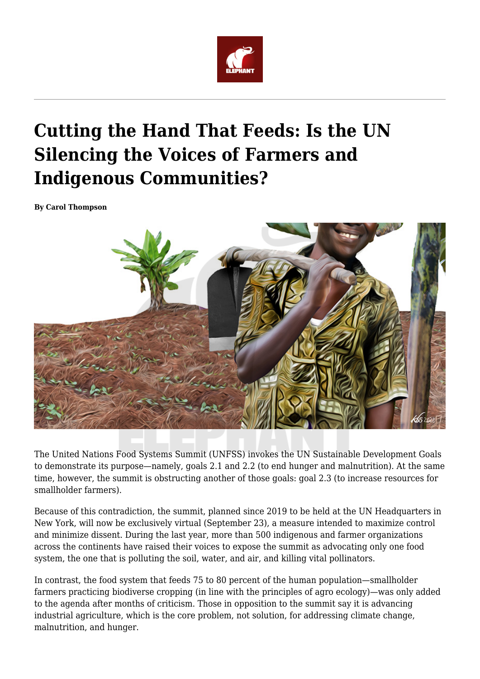

## **Cutting the Hand That Feeds: Is the UN Silencing the Voices of Farmers and Indigenous Communities?**

**By Carol Thompson**



The United Nations Food Systems Summit (UNFSS) invokes the UN Sustainable Development Goals to demonstrate its purpose—namely, goals 2.1 and 2.2 (to end hunger and malnutrition). At the same time, however, the summit is obstructing another of those goals: goal 2.3 (to increase resources for smallholder farmers).

Because of this contradiction, the summit, planned since 2019 to be held at the UN Headquarters in New York, will now be exclusively virtual (September 23), a measure intended to maximize control and minimize dissent. During the last year, more than 500 indigenous and farmer organizations across the continents have raised their voices to expose the summit as advocating only one food system, the one that is polluting the soil, water, and air, and killing vital pollinators.

In contrast, the food system that feeds 75 to 80 percent of the human population—smallholder farmers practicing biodiverse cropping (in line with the principles of agro ecology)—was only added to the agenda after months of criticism. Those in opposition to the summit say it is advancing industrial agriculture, which is the core problem, not solution, for addressing climate change, malnutrition, and hunger.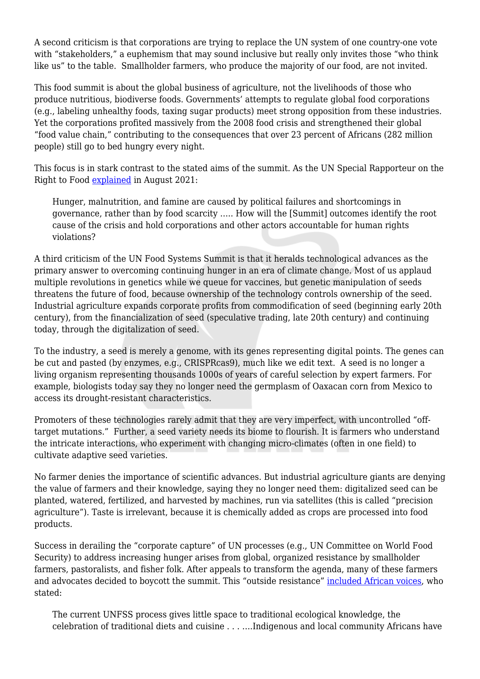A second criticism is that corporations are trying to replace the UN system of one country-one vote with "stakeholders," a euphemism that may sound inclusive but really only invites those "who think like us" to the table. Smallholder farmers, who produce the majority of our food, are not invited.

This food summit is about the global business of agriculture, not the livelihoods of those who produce nutritious, biodiverse foods. Governments' attempts to regulate global food corporations (e.g., labeling unhealthy foods, taxing sugar products) meet strong opposition from these industries. Yet the corporations profited massively from the 2008 food crisis and strengthened their global "food value chain," contributing to the consequences that over 23 percent of Africans (282 million people) still go to bed hungry every night.

This focus is in stark contrast to the stated aims of the summit. As the UN Special Rapporteur on the Right to Food [explained](https://www.ohchr.org/Documents/Issues/Food/Policy_brief_20210819.pdf) in August 2021:

Hunger, malnutrition, and famine are caused by political failures and shortcomings in governance, rather than by food scarcity ….. How will the [Summit] outcomes identify the root cause of the crisis and hold corporations and other actors accountable for human rights violations?

A third criticism of the UN Food Systems Summit is that it heralds technological advances as the primary answer to overcoming continuing hunger in an era of climate change. Most of us applaud multiple revolutions in genetics while we queue for vaccines, but genetic manipulation of seeds threatens the future of food, because ownership of the technology controls ownership of the seed. Industrial agriculture expands corporate profits from commodification of seed (beginning early 20th century), from the financialization of seed (speculative trading, late 20th century) and continuing today, through the digitalization of seed.

To the industry, a seed is merely a genome, with its genes representing digital points. The genes can be cut and pasted (by enzymes, e.g., CRISPRcas9), much like we edit text. A seed is no longer a living organism representing thousands 1000s of years of careful selection by expert farmers. For example, biologists today say they no longer need the germplasm of Oaxacan corn from Mexico to access its drought-resistant characteristics.

Promoters of these technologies rarely admit that they are very imperfect, with uncontrolled "offtarget mutations." Further, a seed variety needs its biome to flourish. It is farmers who understand the intricate interactions, who experiment with changing micro-climates (often in one field) to cultivate adaptive seed varieties.

No farmer denies the importance of scientific advances. But industrial agriculture giants are denying the value of farmers and their knowledge, saying they no longer need them: digitalized seed can be planted, watered, fertilized, and harvested by machines, run via satellites (this is called "precision agriculture"). Taste is irrelevant, because it is chemically added as crops are processed into food products.

Success in derailing the "corporate capture" of UN processes (e.g., UN Committee on World Food Security) to address increasing hunger arises from global, organized resistance by smallholder farmers, pastoralists, and fisher folk. After appeals to transform the agenda, many of these farmers and advocates decided to boycott the summit. This "outside resistance" [included African voices,](https://afsafrica.org/african-civil-society-refuses-to-engage-with-unfss-without-radical-change/) who stated:

The current UNFSS process gives little space to traditional ecological knowledge, the celebration of traditional diets and cuisine . . . ….Indigenous and local community Africans have